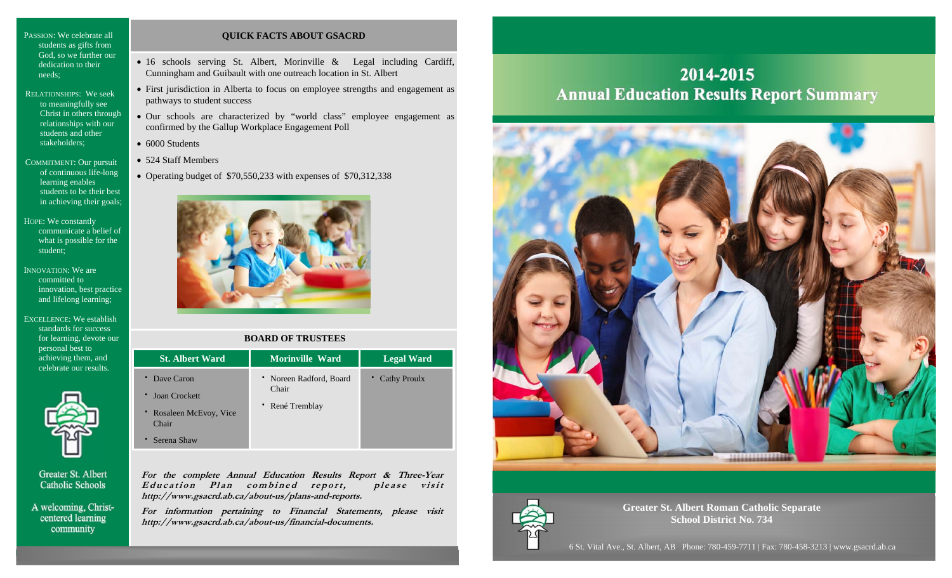PASSION: We celebrate all students as gifts from God, so we further our dedication to their needs;

- RELATIONSHIPS: We seek to meaningfully see Christ in others through relationships with our students and other stakeholders;
- COMMITMENT: Our pursuit of continuous life-long learning enables students to be their best in achieving their goals;

HOPE: We constantly communicate a belief of what is possible for the student;

INNOVATION: We are committed to innovation, best practice and lifelong learning;

EXCELLENCE: We establish standards for success for learning, devote our personal best to achieving them, and celebrate our results.



Greater St. Albert **Catholic Schools** 

A welcoming, Christcentered learning community

### **QUICK FACTS ABOUT GSACRD**

- 16 schools serving St. Albert, Morinville & Legal including Cardiff, Cunningham and Guibault with one outreach location in St. Albert
- First jurisdiction in Alberta to focus on employee strengths and engagement as pathways to student success
- Our schools are characterized by "world class" employee engagement as confirmed by the Gallup Workplace Engagement Poll
- 6000 Students
- 524 Staff Members
- Operating budget of \$70,550,233 with expenses of \$70,312,338



### **BOARD OF TRUSTEES**

| <b>St. Albert Ward</b>         | <b>Morinville Ward</b>           | <b>Legal Ward</b> |
|--------------------------------|----------------------------------|-------------------|
| Dave Caron<br>Joan Crockett    | • Noreen Radford, Board<br>Chair | • Cathy Proulx    |
| Rosaleen McEvoy, Vice<br>Chair | • René Tremblay                  |                   |
| Serena Shaw                    |                                  |                   |

**For the complete Annual Education Results Report & Three-Year**  Education Plan combined report, please visit **http://www.gsacrd.ab.ca/about-us/plans-and-reports.** 

**For information pertaining to Financial Statements, please visit http://www.gsacrd.ab.ca/about-us/financial-documents.**

## 2014-2015 **Annual Education Results Report Summary**





**Greater St. Albert Roman Catholic Separate School District No. 734** 

6 St. Vital Ave., St. Albert, AB Phone: 780-459-7711 | Fax: 780-458-3213 | www.gsacrd.ab.ca